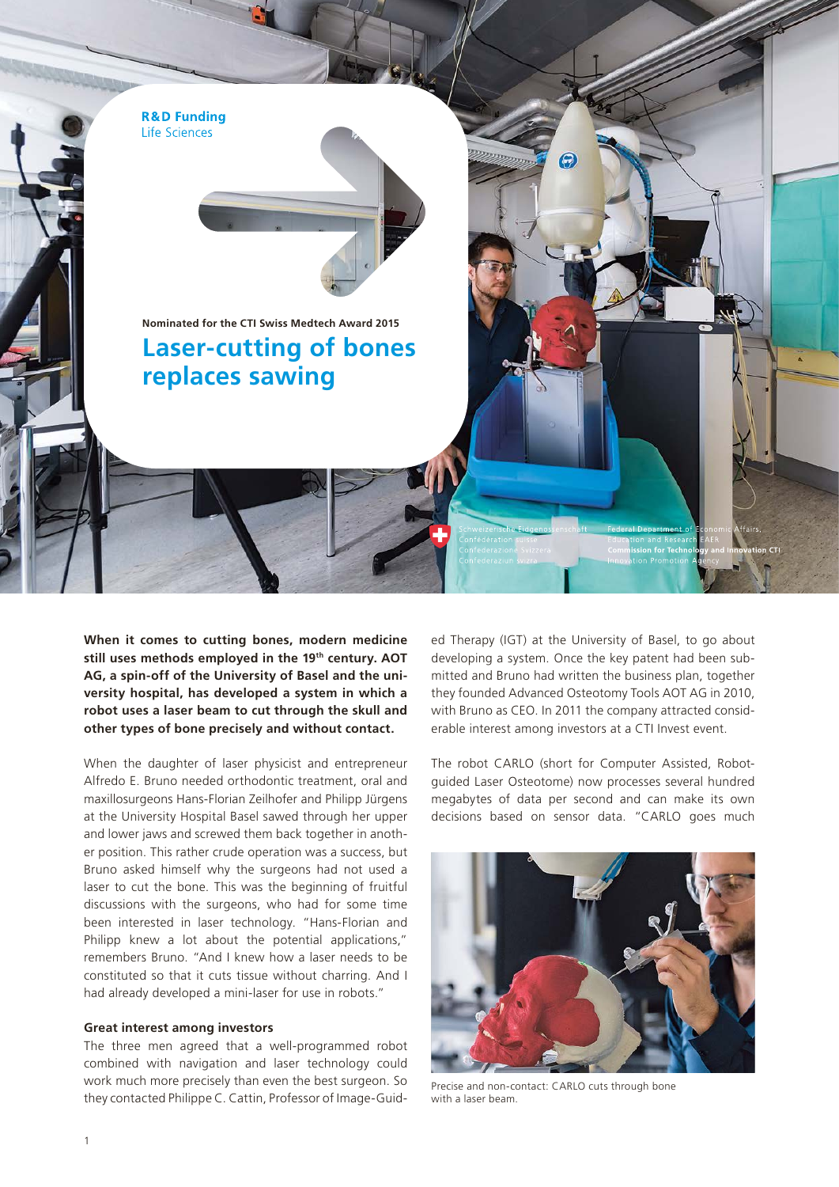

**When it comes to cutting bones, modern medicine still uses methods employed in the 19th century. AOT AG, a spin-off of the University of Basel and the university hospital, has developed a system in which a robot uses a laser beam to cut through the skull and other types of bone precisely and without contact.** 

When the daughter of laser physicist and entrepreneur Alfredo E. Bruno needed orthodontic treatment, oral and maxillosurgeons Hans-Florian Zeilhofer and Philipp Jürgens at the University Hospital Basel sawed through her upper and lower jaws and screwed them back together in another position. This rather crude operation was a success, but Bruno asked himself why the surgeons had not used a laser to cut the bone. This was the beginning of fruitful discussions with the surgeons, who had for some time been interested in laser technology. "Hans-Florian and Philipp knew a lot about the potential applications," remembers Bruno. "And I knew how a laser needs to be constituted so that it cuts tissue without charring. And I had already developed a mini-laser for use in robots."

## **Great interest among investors**

The three men agreed that a well-programmed robot combined with navigation and laser technology could work much more precisely than even the best surgeon. So they contacted Philippe C. Cattin, Professor of Image-Guided Therapy (IGT) at the University of Basel, to go about developing a system. Once the key patent had been submitted and Bruno had written the business plan, together they founded Advanced Osteotomy Tools AOT AG in 2010, with Bruno as CEO. In 2011 the company attracted considerable interest among investors at a CTI Invest event.

The robot CARLO (short for Computer Assisted, Robotguided Laser Osteotome) now processes several hundred megabytes of data per second and can make its own decisions based on sensor data. "CARLO goes much



Precise and non-contact: CARLO cuts through bone with a laser beam.